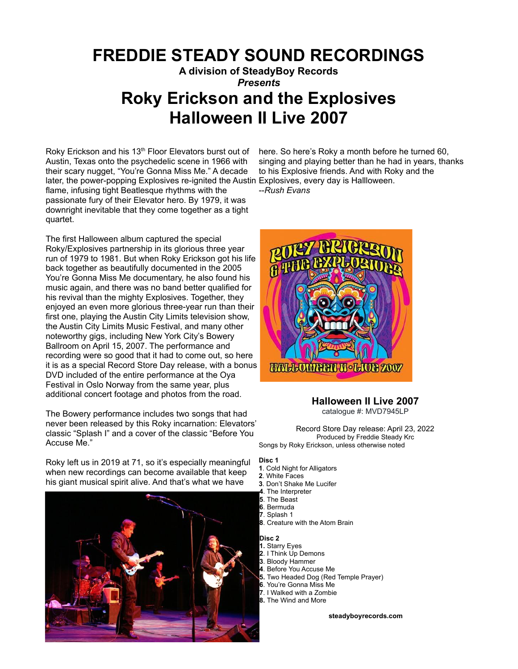## **FREDDIE STEADY SOUND RECORDINGS**

**A division of SteadyBoy Records** *Presents*

# **Roky Erickson and the Explosives Halloween II Live 2007**

Roky Erickson and his 13<sup>th</sup> Floor Elevators burst out of Austin, Texas onto the psychedelic scene in 1966 with their scary nugget, "You're Gonna Miss Me." A decade later, the power-popping Explosives re-ignited the Austin Explosives, every day is Hallloween. flame, infusing tight Beatlesque rhythms with the passionate fury of their Elevator hero. By 1979, it was downright inevitable that they come together as a tight quartet.

The first Halloween album captured the special Roky/Explosives partnership in its glorious three year run of 1979 to 1981. But when Roky Erickson got his life back together as beautifully documented in the 2005 You're Gonna Miss Me documentary, he also found his music again, and there was no band better qualified for his revival than the mighty Explosives. Together, they enjoyed an even more glorious three-year run than their first one, playing the Austin City Limits television show, the Austin City Limits Music Festival, and many other noteworthy gigs, including New York City's Bowery Ballroom on April 15, 2007. The performance and recording were so good that it had to come out, so here it is as a special Record Store Day release, with a bonus DVD included of the entire performance at the Oya Festival in Oslo Norway from the same year, plus additional concert footage and photos from the road.

The Bowery performance includes two songs that had never been released by this Roky incarnation: Elevators' classic "Splash I" and a cover of the classic "Before You Accuse Me."

Roky left us in 2019 at 71, so it's especially meaningful when new recordings can become available that keep his giant musical spirit alive. And that's what we have



here. So here's Roky a month before he turned 60, singing and playing better than he had in years, thanks to his Explosive friends. And with Roky and the

--*Rush Evans*



## **Halloween II Live 2007**

catalogue #: MVD7945LP

Record Store Day release: April 23, 2022 Produced by Freddie Steady Krc Songs by Roky Erickson, unless otherwise noted

#### **Disc 1**

- **1**. Cold Night for Alligators
- **2**. White Faces **3**. Don't Shake Me Lucifer
- **4**. The Interpreter
- **5**. The Beast
- **6**. Bermuda
- **7**. Splash 1
- **8**. Creature with the Atom Brain

### **Disc 2**

- **1.** Starry Eyes **2**. I Think Up Demons **3**. Bloody Hammer **4**. Before You Accuse Me
- **5.** Two Headed Dog (Red Temple Prayer)
- **6**. You're Gonna Miss Me
- **7**. I Walked with a Zombie
- **8.** The Wind and More

**[steadyboyrecords.com](http://www.steadyboyrecords.com)**